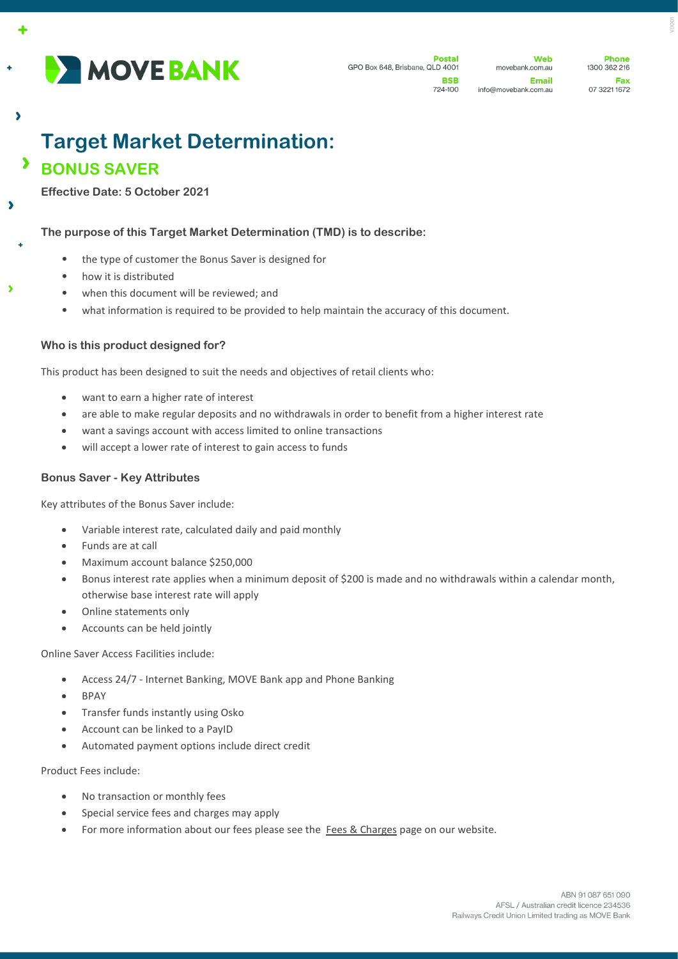

Web movebank.com.au Email info@movebank.com.au

**Phone** 1300 362 216 Fax 07 3221 1672

# **Target Market Determination: BONUS SAVER**

**Effective Date: 5 October 2021**

A

 $\overline{\mathbf{z}}$ 

 $\overline{\phantom{a}}$ 

À

## **The purpose of this Target Market Determination (TMD) is to describe:**

- the type of customer the Bonus Saver is designed for
- how it is distributed
- when this document will be reviewed; and
- what information is required to be provided to help maintain the accuracy of this document.

# **Who is this product designed for?**

This product has been designed to suit the needs and objectives of retail clients who:

- want to earn a higher rate of interest
- are able to make regular deposits and no withdrawals in order to benefit from a higher interest rate
- want a savings account with access limited to online transactions
- will accept a lower rate of interest to gain access to funds

## **Bonus Saver - Key Attributes**

Key attributes of the Bonus Saver include:

- Variable interest rate, calculated daily and paid monthly
- Funds are at call
- Maximum account balance \$250,000
- Bonus interest rate applies when a minimum deposit of \$200 is made and no withdrawals within a calendar month, otherwise base interest rate will apply
- Online statements only
- Accounts can be held jointly

Online Saver Access Facilities include:

- Access 24/7 Internet Banking, MOVE Bank app and Phone Banking
- BPAY
- Transfer funds instantly using Osko
- Account can be linked to a PayID
- Automated payment options include direct credit

Product Fees include:

- No transaction or monthly fees
- Special service fees and charges may apply
- For more information about our fees please see the [Fees & Charges](https://movebank.com.au/quick-links/fees-charges/) page on our website.